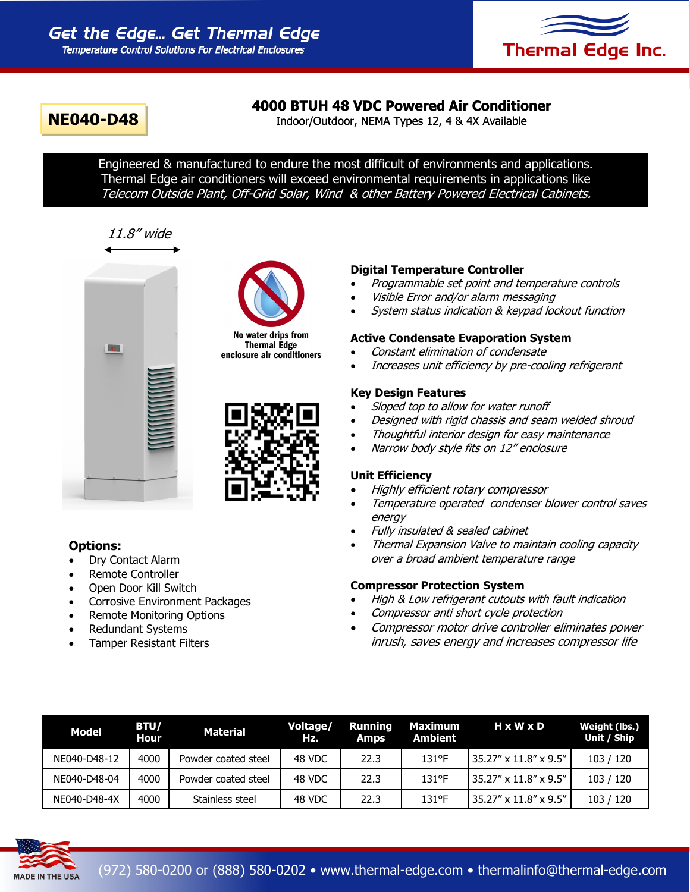

# **4000 BTUH 48 VDC Powered Air Conditioner**

**NE040-D48** Indoor/Outdoor, NEMA Types 12, 4 & 4X Available

Engineered & manufactured to endure the most difficult of environments and applications. Thermal Edge air conditioners will exceed environmental requirements in applications like Telecom Outside Plant, Off-Grid Solar, Wind & other Battery Powered Electrical Cabinets.

# 11.8" wide





No water drips from **Thermal Edge** enclosure air conditioners



# **Options:**

- Dry Contact Alarm
- Remote Controller
- Open Door Kill Switch
- Corrosive Environment Packages
- Remote Monitoring Options
- Redundant Systems
- Tamper Resistant Filters

# **Digital Temperature Controller**

- Programmable set point and temperature controls
- Visible Error and/or alarm messaging
- System status indication & keypad lockout function

#### **Active Condensate Evaporation System**

- Constant elimination of condensate
- Increases unit efficiency by pre-cooling refrigerant

## **Key Design Features**

- Sloped top to allow for water runoff
- Designed with rigid chassis and seam welded shroud
- Thoughtful interior design for easy maintenance
- Narrow body style fits on 12" enclosure

## **Unit Efficiency**

- Highly efficient rotary compressor
- Temperature operated condenser blower control saves energy
- Fully insulated & sealed cabinet
- Thermal Expansion Valve to maintain cooling capacity over a broad ambient temperature range

## **Compressor Protection System**

- High & Low refrigerant cutouts with fault indication
- Compressor anti short cycle protection
- Compressor motor drive controller eliminates power inrush, saves energy and increases compressor life

| <b>Model</b> | <b>BTU/</b><br><b>Hour</b> | <b>Material</b>     | Voltage/<br>Hz. | Running<br>Amps | Maximum<br><b>Ambient</b> | HxWxD                                | Weight (lbs.)<br>Unit / Ship |
|--------------|----------------------------|---------------------|-----------------|-----------------|---------------------------|--------------------------------------|------------------------------|
| NE040-D48-12 | 4000                       | Powder coated steel | 48 VDC          | 22.3            | $131$ °F                  | l 35.27" x 11.8" x 9.5"              | 103 / 120                    |
| NE040-D48-04 | 4000                       | Powder coated steel | 48 VDC          | 22.3            | $131$ °F                  | l 35.27" x 11.8" x 9.5"              | 103 / 120                    |
| NE040-D48-4X | 4000                       | Stainless steel     | 48 VDC          | 22.3            | $131$ °F                  | $35.27'' \times 11.8'' \times 9.5''$ | 103 / 120                    |